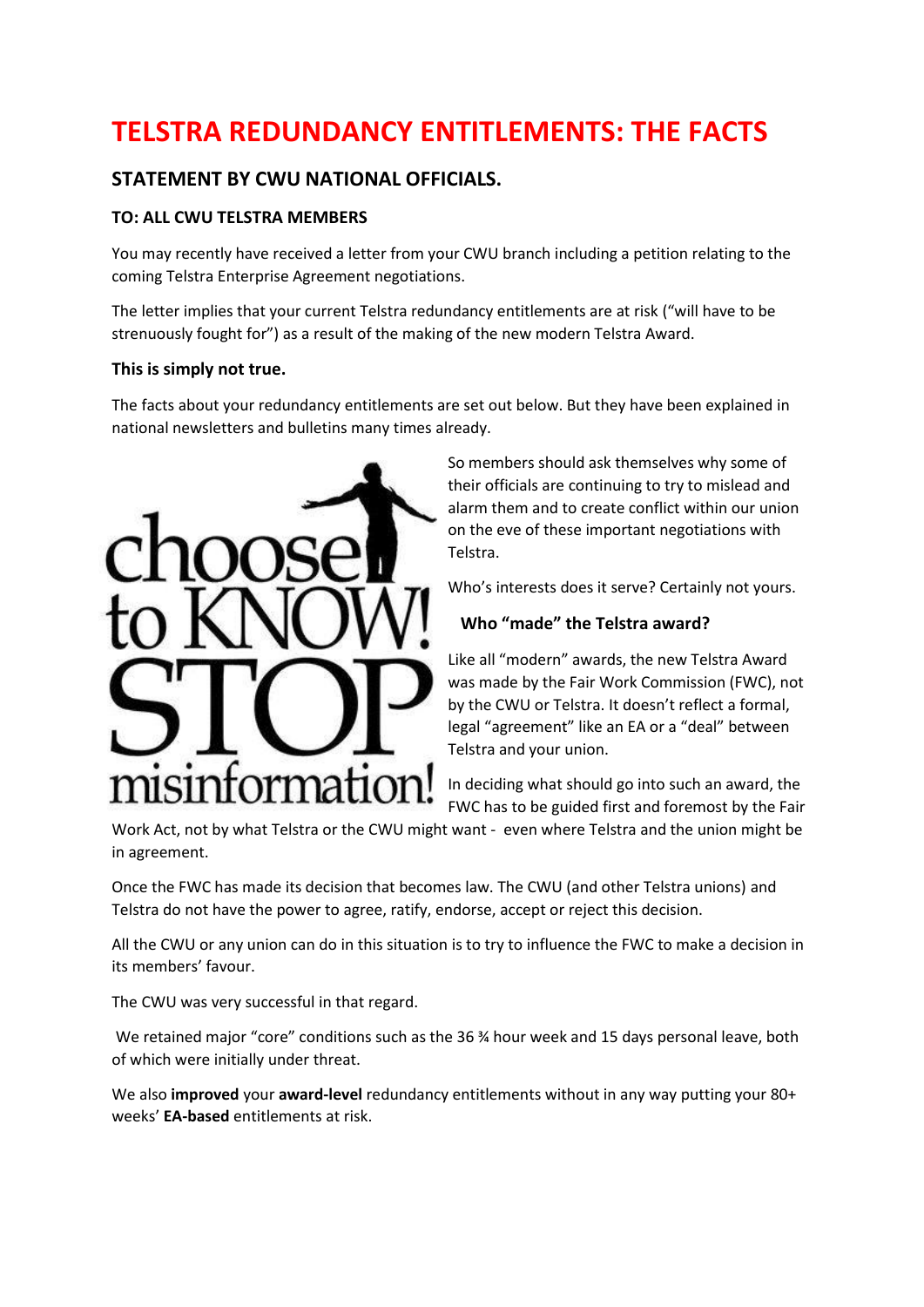# **TELSTRA REDUNDANCY ENTITLEMENTS: THE FACTS**

# **STATEMENT BY CWU NATIONAL OFFICIALS.**

## **TO: ALL CWU TELSTRA MEMBERS**

You may recently have received a letter from your CWU branch including a petition relating to the coming Telstra Enterprise Agreement negotiations.

The letter implies that your current Telstra redundancy entitlements are at risk ("will have to be strenuously fought for") as a result of the making of the new modern Telstra Award.

#### **This is simply not true.**

The facts about your redundancy entitlements are set out below. But they have been explained in national newsletters and bulletins many times already.



So members should ask themselves why some of their officials are continuing to try to mislead and alarm them and to create conflict within our union on the eve of these important negotiations with Telstra.

Who's interests does it serve? Certainly not yours.

### **Who "made" the Telstra award?**

Like all "modern" awards, the new Telstra Award was made by the Fair Work Commission (FWC), not by the CWU or Telstra. It doesn't reflect a formal, legal "agreement" like an EA or a "deal" between Telstra and your union.

In deciding what should go into such an award, the FWC has to be guided first and foremost by the Fair

Work Act, not by what Telstra or the CWU might want - even where Telstra and the union might be in agreement.

Once the FWC has made its decision that becomes law. The CWU (and other Telstra unions) and Telstra do not have the power to agree, ratify, endorse, accept or reject this decision.

All the CWU or any union can do in this situation is to try to influence the FWC to make a decision in its members' favour.

The CWU was very successful in that regard.

We retained major "core" conditions such as the 36 % hour week and 15 days personal leave, both of which were initially under threat.

We also **improved** your **award-level** redundancy entitlements without in any way putting your 80+ weeks' **EA-based** entitlements at risk.